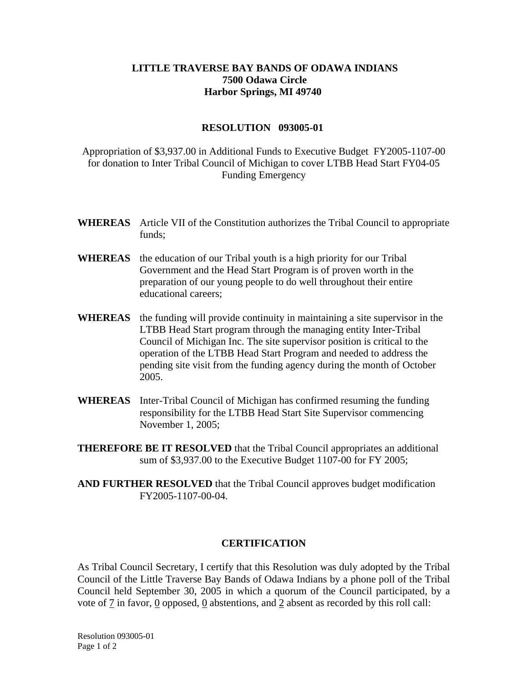## **LITTLE TRAVERSE BAY BANDS OF ODAWA INDIANS 7500 Odawa Circle Harbor Springs, MI 49740**

## **RESOLUTION 093005-01**

Appropriation of \$3,937.00 in Additional Funds to Executive Budget FY2005-1107-00 for donation to Inter Tribal Council of Michigan to cover LTBB Head Start FY04-05 Funding Emergency

- **WHEREAS** Article VII of the Constitution authorizes the Tribal Council to appropriate funds;
- **WHEREAS** the education of our Tribal youth is a high priority for our Tribal Government and the Head Start Program is of proven worth in the preparation of our young people to do well throughout their entire educational careers;
- **WHEREAS** the funding will provide continuity in maintaining a site supervisor in the LTBB Head Start program through the managing entity Inter-Tribal Council of Michigan Inc. The site supervisor position is critical to the operation of the LTBB Head Start Program and needed to address the pending site visit from the funding agency during the month of October 2005.
- **WHEREAS** Inter-Tribal Council of Michigan has confirmed resuming the funding responsibility for the LTBB Head Start Site Supervisor commencing November 1, 2005;
- **THEREFORE BE IT RESOLVED** that the Tribal Council appropriates an additional sum of \$3,937.00 to the Executive Budget 1107-00 for FY 2005;
- **AND FURTHER RESOLVED** that the Tribal Council approves budget modification FY2005-1107-00-04.

## **CERTIFICATION**

As Tribal Council Secretary, I certify that this Resolution was duly adopted by the Tribal Council of the Little Traverse Bay Bands of Odawa Indians by a phone poll of the Tribal Council held September 30, 2005 in which a quorum of the Council participated, by a vote of 7 in favor, 0 opposed, 0 abstentions, and 2 absent as recorded by this roll call: